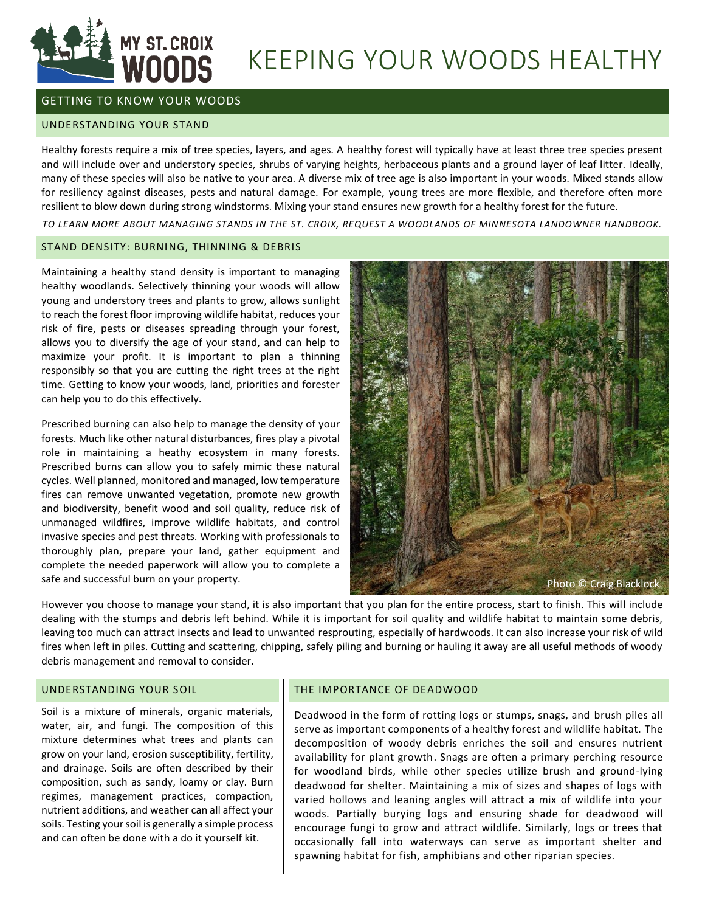

# KEEPING YOUR WOODS HEALTHY

# GETTING TO KNOW YOUR WOODS

#### UNDERSTANDING YOUR STAND

Healthy forests require a mix of tree species, layers, and ages. A healthy forest will typically have at least three tree species present and will include over and understory species, shrubs of varying heights, herbaceous plants and a ground layer of leaf litter. Ideally, many of these species will also be native to your area. A diverse mix of tree age is also important in your woods. Mixed stands allow for resiliency against diseases, pests and natural damage. For example, young trees are more flexible, and therefore often more resilient to blow down during strong windstorms. Mixing your stand ensures new growth for a healthy forest for the future.

*TO LEARN MORE ABOUT MANAGING STANDS IN THE ST. CROIX, REQUEST A WOODLANDS OF MINNESOTA LANDOWNER HANDBOOK.*

## STAND DENSITY: BURNING, THINNING & DEBRIS

Maintaining a healthy stand density is important to managing healthy woodlands. Selectively thinning your woods will allow young and understory trees and plants to grow, allows sunlight to reach the forest floor improving wildlife habitat, reduces your risk of fire, pests or diseases spreading through your forest, allows you to diversify the age of your stand, and can help to maximize your profit. It is important to plan a thinning responsibly so that you are cutting the right trees at the right time. Getting to know your woods, land, priorities and forester can help you to do this effectively.

Prescribed burning can also help to manage the density of your forests. Much like other natural disturbances, fires play a pivotal role in maintaining a heathy ecosystem in many forests. Prescribed burns can allow you to safely mimic these natural cycles. Well planned, monitored and managed, low temperature fires can remove unwanted vegetation, promote new growth and biodiversity, benefit wood and soil quality, reduce risk of unmanaged wildfires, improve wildlife habitats, and control invasive species and pest threats. Working with professionals to thoroughly plan, prepare your land, gather equipment and complete the needed paperwork will allow you to complete a safe and successful burn on your property.



However you choose to manage your stand, it is also important that you plan for the entire process, start to finish. This will include dealing with the stumps and debris left behind. While it is important for soil quality and wildlife habitat to maintain some debris, leaving too much can attract insects and lead to unwanted resprouting, especially of hardwoods. It can also increase your risk of wild fires when left in piles. Cutting and scattering, chipping, safely piling and burning or hauling it away are all useful methods of woody debris management and removal to consider.

# UNDERSTANDING YOUR SOIL

Soil is a mixture of minerals, organic materials, water, air, and fungi. The composition of this mixture determines what trees and plants can grow on your land, erosion susceptibility, fertility, and drainage. Soils are often described by their composition, such as sandy, loamy or clay. Burn regimes, management practices, compaction, nutrient additions, and weather can all affect your soils. Testing your soil is generally a simple process and can often be done with a do it yourself kit.

#### THE IMPORTANCE OF DEADWOOD

Deadwood in the form of rotting logs or stumps, snags, and brush piles all serve as important components of a healthy forest and wildlife habitat. The decomposition of woody debris enriches the soil and ensures nutrient availability for plant growth. Snags are often a primary perching resource for woodland birds, while other species utilize brush and ground-lying deadwood for shelter. Maintaining a mix of sizes and shapes of logs with varied hollows and leaning angles will attract a mix of wildlife into your woods. Partially burying logs and ensuring shade for deadwood will encourage fungi to grow and attract wildlife. Similarly, logs or trees that occasionally fall into waterways can serve as important shelter and spawning habitat for fish, amphibians and other riparian species.